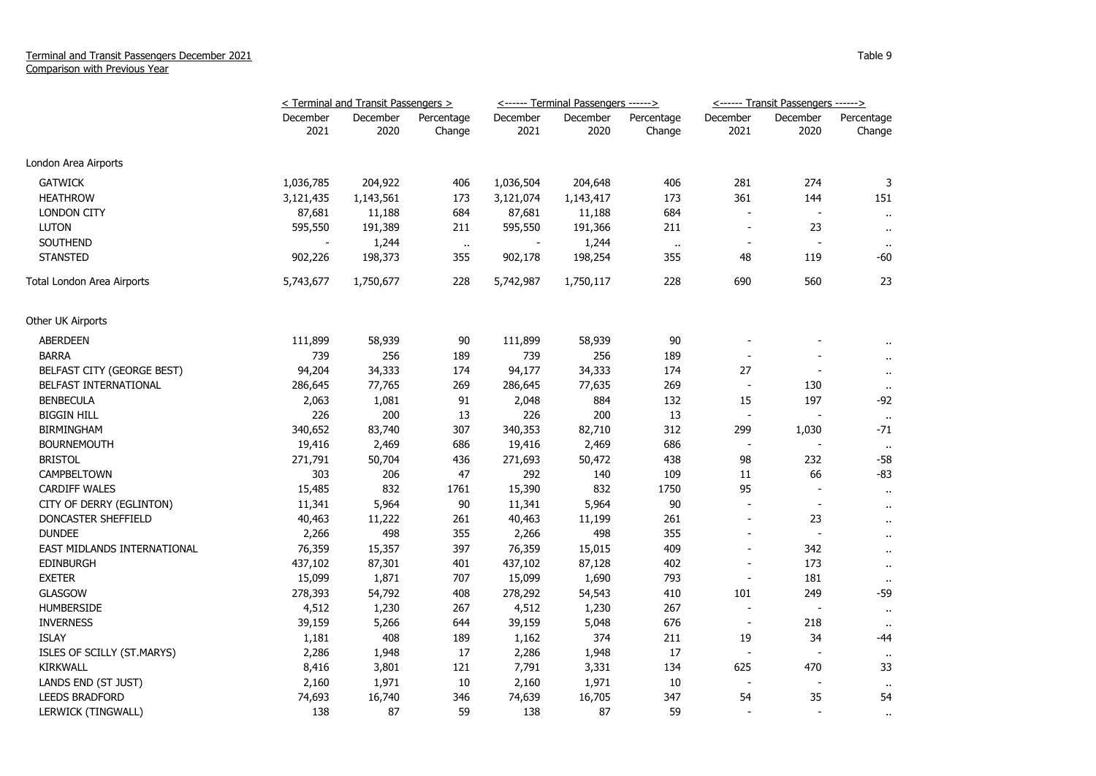|                             | < Terminal and Transit Passengers > |                  |                      |                  | <------ Terminal Passengers ------> |                      | <------ Transit Passengers ------> |                          |                      |
|-----------------------------|-------------------------------------|------------------|----------------------|------------------|-------------------------------------|----------------------|------------------------------------|--------------------------|----------------------|
|                             | December<br>2021                    | December<br>2020 | Percentage<br>Change | December<br>2021 | December<br>2020                    | Percentage<br>Change | December<br>2021                   | December<br>2020         | Percentage<br>Change |
|                             |                                     |                  |                      |                  |                                     |                      |                                    |                          |                      |
| London Area Airports        |                                     |                  |                      |                  |                                     |                      |                                    |                          |                      |
| <b>GATWICK</b>              | 1,036,785                           | 204,922          | 406                  | 1,036,504        | 204,648                             | 406                  | 281                                | 274                      | 3                    |
| <b>HEATHROW</b>             | 3,121,435                           | 1,143,561        | 173                  | 3,121,074        | 1,143,417                           | 173                  | 361                                | 144                      | 151                  |
| <b>LONDON CITY</b>          | 87,681                              | 11,188           | 684                  | 87,681           | 11,188                              | 684                  | $\overline{a}$                     | $\overline{\phantom{a}}$ | $\sim$               |
| <b>LUTON</b>                | 595,550                             | 191,389          | 211                  | 595,550          | 191,366                             | 211                  | $\blacksquare$                     | 23                       | $\sim$               |
| <b>SOUTHEND</b>             |                                     | 1,244            | $\ddot{\phantom{1}}$ |                  | 1,244                               | $\ddot{\phantom{1}}$ |                                    |                          | $\bullet$            |
| <b>STANSTED</b>             | 902,226                             | 198,373          | 355                  | 902,178          | 198,254                             | 355                  | 48                                 | 119                      | -60                  |
| Total London Area Airports  | 5,743,677                           | 1,750,677        | 228                  | 5,742,987        | 1,750,117                           | 228                  | 690                                | 560                      | 23                   |
| Other UK Airports           |                                     |                  |                      |                  |                                     |                      |                                    |                          |                      |
| <b>ABERDEEN</b>             | 111,899                             | 58,939           | 90                   | 111,899          | 58,939                              | 90                   |                                    |                          |                      |
| <b>BARRA</b>                | 739                                 | 256              | 189                  | 739              | 256                                 | 189                  |                                    |                          |                      |
| BELFAST CITY (GEORGE BEST)  | 94,204                              | 34,333           | 174                  | 94,177           | 34,333                              | 174                  | 27                                 | $\blacksquare$           | $\ddot{\phantom{1}}$ |
| BELFAST INTERNATIONAL       | 286,645                             | 77,765           | 269                  | 286,645          | 77,635                              | 269                  | $\overline{\phantom{a}}$           | 130                      | $\mathbf{H}$         |
| <b>BENBECULA</b>            | 2,063                               | 1,081            | 91                   | 2,048            | 884                                 | 132                  | 15                                 | 197                      | $-92$                |
| <b>BIGGIN HILL</b>          | 226                                 | 200              | 13                   | 226              | 200                                 | 13                   | $\overline{\phantom{a}}$           |                          | $\sim$               |
| <b>BIRMINGHAM</b>           | 340,652                             | 83,740           | 307                  | 340,353          | 82,710                              | 312                  | 299                                | 1,030                    | -71                  |
| <b>BOURNEMOUTH</b>          | 19,416                              | 2,469            | 686                  | 19,416           | 2,469                               | 686                  | $\sim$                             |                          | $\bullet$            |
| <b>BRISTOL</b>              | 271,791                             | 50,704           | 436                  | 271,693          | 50,472                              | 438                  | 98                                 | 232                      | $-58$                |
| CAMPBELTOWN                 | 303                                 | 206              | 47                   | 292              | 140                                 | 109                  | 11                                 | 66                       | $-83$                |
| CARDIFF WALES               | 15,485                              | 832              | 1761                 | 15,390           | 832                                 | 1750                 | 95                                 |                          | $\mathbf{H}$         |
| CITY OF DERRY (EGLINTON)    | 11,341                              | 5,964            | 90                   | 11,341           | 5,964                               | 90                   | $\blacksquare$                     | $\sim$                   | $\blacksquare$       |
| DONCASTER SHEFFIELD         | 40,463                              | 11,222           | 261                  | 40,463           | 11,199                              | 261                  | $\overline{a}$                     | 23                       | $\ddot{\phantom{1}}$ |
| <b>DUNDEE</b>               | 2,266                               | 498              | 355                  | 2,266            | 498                                 | 355                  | $\overline{a}$                     | $\overline{\phantom{a}}$ | $\ddot{\phantom{1}}$ |
| EAST MIDLANDS INTERNATIONAL | 76,359                              | 15,357           | 397                  | 76,359           | 15,015                              | 409                  | $\overline{a}$                     | 342                      | $\ddot{\phantom{1}}$ |
| <b>EDINBURGH</b>            | 437,102                             | 87,301           | 401                  | 437,102          | 87,128                              | 402                  |                                    | 173                      | $\sim$               |
| <b>EXETER</b>               | 15,099                              | 1,871            | 707                  | 15,099           | 1,690                               | 793                  | $\overline{\phantom{a}}$           | 181                      | $\mathbf{u}$         |
| <b>GLASGOW</b>              | 278,393                             | 54,792           | 408                  | 278,292          | 54,543                              | 410                  | 101                                | 249                      | $-59$                |
| <b>HUMBERSIDE</b>           | 4,512                               | 1,230            | 267                  | 4,512            | 1,230                               | 267                  | $\sim$                             |                          | $\mathbf{u}$         |
| <b>INVERNESS</b>            | 39,159                              | 5,266            | 644                  | 39,159           | 5,048                               | 676                  | $\blacksquare$                     | 218                      |                      |
| <b>ISLAY</b>                | 1,181                               | 408              | 189                  | 1,162            | 374                                 | 211                  | 19                                 | 34                       | -44                  |
| ISLES OF SCILLY (ST.MARYS)  | 2,286                               | 1,948            | 17                   | 2,286            | 1,948                               | 17                   | $\blacksquare$                     |                          |                      |
| <b>KIRKWALL</b>             | 8,416                               | 3,801            | 121                  | 7,791            | 3,331                               | 134                  | 625                                | 470                      | 33                   |
| LANDS END (ST JUST)         | 2,160                               | 1,971            | 10                   | 2,160            | 1,971                               | 10                   | $\overline{\phantom{a}}$           | $\overline{\phantom{a}}$ | $\bullet$ .          |
| <b>LEEDS BRADFORD</b>       | 74,693                              | 16,740           | 346                  | 74,639           | 16,705                              | 347                  | 54                                 | 35                       | 54                   |
| LERWICK (TINGWALL)          | 138                                 | 87               | 59                   | 138              | 87                                  | 59                   | ÷                                  | $\overline{a}$           |                      |